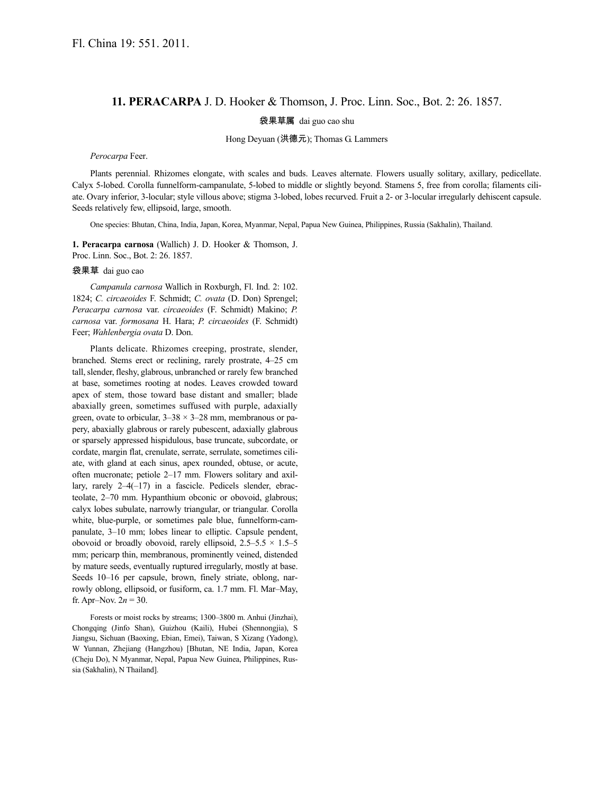## **11. PERACARPA** J. D. Hooker & Thomson, J. Proc. Linn. Soc., Bot. 2: 26. 1857.

袋果草属 dai guo cao shu

Hong Deyuan (洪德元); Thomas G. Lammers

*Perocarpa* Feer.

Plants perennial. Rhizomes elongate, with scales and buds. Leaves alternate. Flowers usually solitary, axillary, pedicellate. Calyx 5-lobed. Corolla funnelform-campanulate, 5-lobed to middle or slightly beyond. Stamens 5, free from corolla; filaments ciliate. Ovary inferior, 3-locular; style villous above; stigma 3-lobed, lobes recurved. Fruit a 2- or 3-locular irregularly dehiscent capsule. Seeds relatively few, ellipsoid, large, smooth.

One species: Bhutan, China, India, Japan, Korea, Myanmar, Nepal, Papua New Guinea, Philippines, Russia (Sakhalin), Thailand.

**1. Peracarpa carnosa** (Wallich) J. D. Hooker & Thomson, J. Proc. Linn. Soc., Bot. 2: 26. 1857.

## 袋果草 dai guo cao

*Campanula carnosa* Wallich in Roxburgh, Fl. Ind. 2: 102. 1824; *C. circaeoides* F. Schmidt; *C. ovata* (D. Don) Sprengel; *Peracarpa carnosa* var. *circaeoides* (F. Schmidt) Makino; *P. carnosa* var. *formosana* H. Hara; *P. circaeoides* (F. Schmidt) Feer; *Wahlenbergia ovata* D. Don.

Plants delicate. Rhizomes creeping, prostrate, slender, branched. Stems erect or reclining, rarely prostrate, 4–25 cm tall, slender, fleshy, glabrous, unbranched or rarely few branched at base, sometimes rooting at nodes. Leaves crowded toward apex of stem, those toward base distant and smaller; blade abaxially green, sometimes suffused with purple, adaxially green, ovate to orbicular,  $3-38 \times 3-28$  mm, membranous or papery, abaxially glabrous or rarely pubescent, adaxially glabrous or sparsely appressed hispidulous, base truncate, subcordate, or cordate, margin flat, crenulate, serrate, serrulate, sometimes ciliate, with gland at each sinus, apex rounded, obtuse, or acute, often mucronate; petiole 2–17 mm. Flowers solitary and axillary, rarely 2–4(–17) in a fascicle. Pedicels slender, ebracteolate, 2–70 mm. Hypanthium obconic or obovoid, glabrous; calyx lobes subulate, narrowly triangular, or triangular. Corolla white, blue-purple, or sometimes pale blue, funnelform-campanulate, 3–10 mm; lobes linear to elliptic. Capsule pendent, obovoid or broadly obovoid, rarely ellipsoid,  $2.5-5.5 \times 1.5-5$ mm; pericarp thin, membranous, prominently veined, distended by mature seeds, eventually ruptured irregularly, mostly at base. Seeds 10–16 per capsule, brown, finely striate, oblong, narrowly oblong, ellipsoid, or fusiform, ca. 1.7 mm. Fl. Mar–May, fr. Apr–Nov.  $2n = 30$ .

Forests or moist rocks by streams; 1300–3800 m. Anhui (Jinzhai), Chongqing (Jinfo Shan), Guizhou (Kaili), Hubei (Shennongjia), S Jiangsu, Sichuan (Baoxing, Ebian, Emei), Taiwan, S Xizang (Yadong), W Yunnan, Zhejiang (Hangzhou) [Bhutan, NE India, Japan, Korea (Cheju Do), N Myanmar, Nepal, Papua New Guinea, Philippines, Russia (Sakhalin), N Thailand].